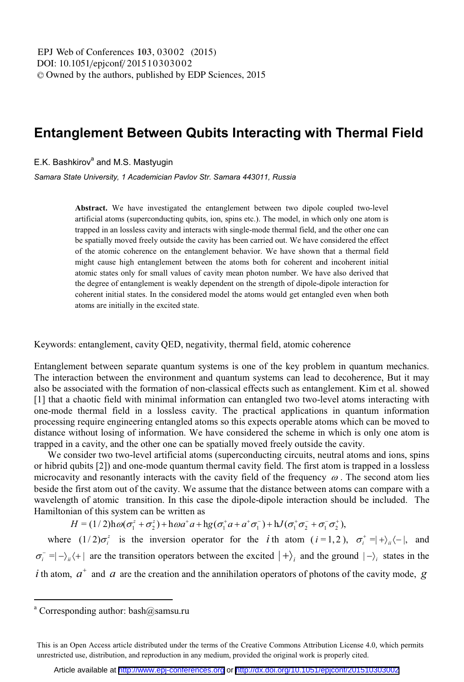## **Entanglement Between Qubits Interacting with Thermal Field**

E.K. Bashkirov<sup>a</sup> and M.S. Mastyugin

Samara State University, 1 Academician Pavlov Str. Samara 443011, Russia

Abstract. We have investigated the entanglement between two dipole coupled two-level artificial atoms (superconducting qubits, ion, spins etc.). The model, in which only one atom is trapped in an lossless cavity and interacts with single-mode thermal field, and the other one can be spatially moved freely outside the cavity has been carried out. We have considered the effect of the atomic coherence on the entanglement behavior. We have shown that a thermal field might cause high entanglement between the atoms both for coherent and incoherent initial atomic states only for small values of cavity mean photon number. We have also derived that the degree of entanglement is weakly dependent on the strength of dipole-dipole interaction for coherent initial states. In the considered model the atoms would get entangled even when both atoms are initially in the excited state.

Keywords: entanglement, cavity QED, negativity, thermal field, atomic coherence

Entanglement between separate quantum systems is one of the key problem in quantum mechanics. The interaction between the environment and quantum systems can lead to decoherence, But it may also be associated with the formation of non-classical effects such as entanglement. Kim et al. showed [1] that a chaotic field with minimal information can entangled two two-level atoms interacting with one-mode thermal field in a lossless cavity. The practical applications in quantum information processing require engineering entangled atoms so this expects operable atoms which can be moved to distance without losing of information. We have considered the scheme in which is only one atom is trapped in a cavity, and the other one can be spatially moved freely outside the cavity.

We consider two two-level artificial atoms (superconducting circuits, neutral atoms and ions, spins or hibrid qubits [2]) and one-mode quantum thermal cavity field. The first atom is trapped in a lossless microcavity and resonantly interacts with the cavity field of the frequency  $\omega$ . The second atom lies beside the first atom out of the cavity. We assume that the distance between atoms can compare with a wavelength of atomic transition. In this case the dipole-dipole interaction should be included. The Hamiltonian of this system can be written as

 $H = (1/2)h\omega(\sigma_1^z + \sigma_2^z) + h\omega a^*a + h g(\sigma_1^*a + a^*\sigma_1^-) + hJ(\sigma_1^*\sigma_2^* + \sigma_1^*\sigma_2^*),$ 

where  $(1/2)\sigma_i^2$  is the inversion operator for the *i*th atom  $(i=1,2)$ ,  $\sigma_i^+ = |+\rangle_i \langle -|$ , and  $\sigma_i^- = |-\rangle_{ii}$  (+) are the transition operators between the excited  $|+\rangle_i$  and the ground  $|-\rangle_i$  states in the i th atom,  $a^+$  and a are the creation and the annihilation operators of photons of the cavity mode, g

<sup>&</sup>lt;sup>a</sup> Corresponding author:  $bash@samsu.ru$ 

This is an Open Access article distributed under the terms of the Creative Commons Attribution License 4.0, which permits unrestricted use, distribution, and reproduction in any medium, provided the original work is properly cited.